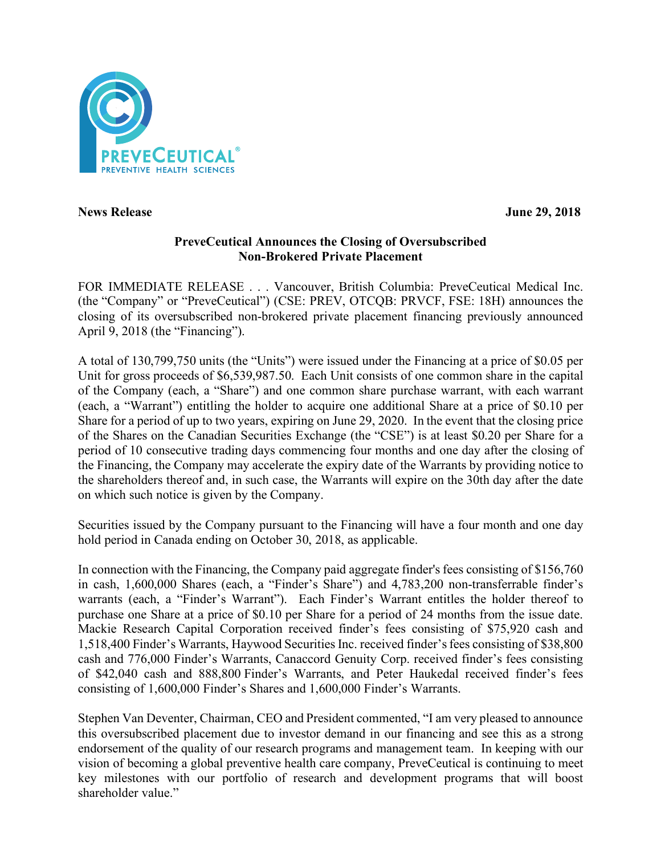

**News Release** June 29, 2018

# **PreveCeutical Announces the Closing of Oversubscribed Non-Brokered Private Placement**

FOR IMMEDIATE RELEASE . . . Vancouver, British Columbia: PreveCeutical Medical Inc. (the "Company" or "PreveCeutical") (CSE: PREV, OTCQB: PRVCF, FSE: 18H) announces the closing of its oversubscribed non-brokered private placement financing previously announced April 9, 2018 (the "Financing").

A total of 130,799,750 units (the "Units") were issued under the Financing at a price of \$0.05 per Unit for gross proceeds of \$6,539,987.50. Each Unit consists of one common share in the capital of the Company (each, a "Share") and one common share purchase warrant, with each warrant (each, a "Warrant") entitling the holder to acquire one additional Share at a price of \$0.10 per Share for a period of up to two years, expiring on June 29, 2020. In the event that the closing price of the Shares on the Canadian Securities Exchange (the "CSE") is at least \$0.20 per Share for a period of 10 consecutive trading days commencing four months and one day after the closing of the Financing, the Company may accelerate the expiry date of the Warrants by providing notice to the shareholders thereof and, in such case, the Warrants will expire on the 30th day after the date on which such notice is given by the Company.

Securities issued by the Company pursuant to the Financing will have a four month and one day hold period in Canada ending on October 30, 2018, as applicable.

In connection with the Financing, the Company paid aggregate finder's fees consisting of \$156,760 in cash, 1,600,000 Shares (each, a "Finder's Share") and 4,783,200 non-transferrable finder's warrants (each, a "Finder's Warrant"). Each Finder's Warrant entitles the holder thereof to purchase one Share at a price of \$0.10 per Share for a period of 24 months from the issue date. Mackie Research Capital Corporation received finder's fees consisting of \$75,920 cash and 1,518,400 Finder's Warrants, Haywood SecuritiesInc. received finder's fees consisting of \$38,800 cash and 776,000 Finder's Warrants, Canaccord Genuity Corp. received finder's fees consisting of \$42,040 cash and 888,800 Finder's Warrants, and Peter Haukedal received finder's fees consisting of 1,600,000 Finder's Shares and 1,600,000 Finder's Warrants.

Stephen Van Deventer, Chairman, CEO and President commented, "I am very pleased to announce this oversubscribed placement due to investor demand in our financing and see this as a strong endorsement of the quality of our research programs and management team. In keeping with our vision of becoming a global preventive health care company, PreveCeutical is continuing to meet key milestones with our portfolio of research and development programs that will boost shareholder value."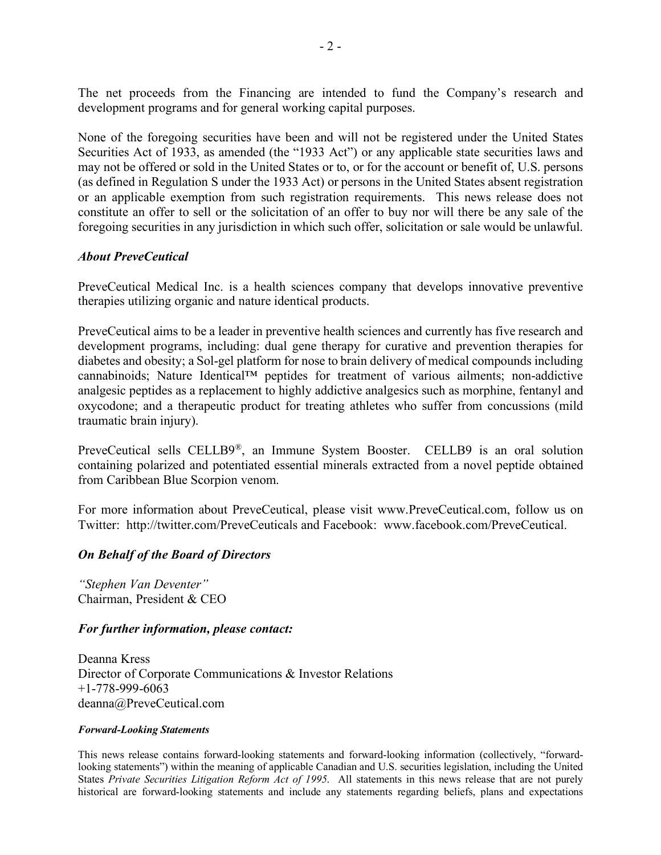The net proceeds from the Financing are intended to fund the Company's research and development programs and for general working capital purposes.

None of the foregoing securities have been and will not be registered under the United States Securities Act of 1933, as amended (the "1933 Act") or any applicable state securities laws and may not be offered or sold in the United States or to, or for the account or benefit of, U.S. persons (as defined in Regulation S under the 1933 Act) or persons in the United States absent registration or an applicable exemption from such registration requirements. This news release does not constitute an offer to sell or the solicitation of an offer to buy nor will there be any sale of the foregoing securities in any jurisdiction in which such offer, solicitation or sale would be unlawful.

#### *About PreveCeutical*

PreveCeutical Medical Inc. is a health sciences company that develops innovative preventive therapies utilizing organic and nature identical products.

PreveCeutical aims to be a leader in preventive health sciences and currently has five research and development programs, including: dual gene therapy for curative and prevention therapies for diabetes and obesity; a Sol-gel platform for nose to brain delivery of medical compounds including cannabinoids; Nature Identical™ peptides for treatment of various ailments; non-addictive analgesic peptides as a replacement to highly addictive analgesics such as morphine, fentanyl and oxycodone; and a therapeutic product for treating athletes who suffer from concussions (mild traumatic brain injury).

PreveCeutical sells CELLB9®, an Immune System Booster. CELLB9 is an oral solution containing polarized and potentiated essential minerals extracted from a novel peptide obtained from Caribbean Blue Scorpion venom.

For more information about PreveCeutical, please visit www.PreveCeutical.com, follow us on Twitter: http://twitter.com/PreveCeuticals and Facebook: www.facebook.com/PreveCeutical.

## *On Behalf of the Board of Directors*

*"Stephen Van Deventer"* Chairman, President & CEO

## *For further information, please contact:*

Deanna Kress Director of Corporate Communications & Investor Relations +1-778-999-6063 deanna@PreveCeutical.com

#### *Forward-Looking Statements*

This news release contains forward-looking statements and forward-looking information (collectively, "forwardlooking statements") within the meaning of applicable Canadian and U.S. securities legislation, including the United States *Private Securities Litigation Reform Act of 1995*. All statements in this news release that are not purely historical are forward-looking statements and include any statements regarding beliefs, plans and expectations